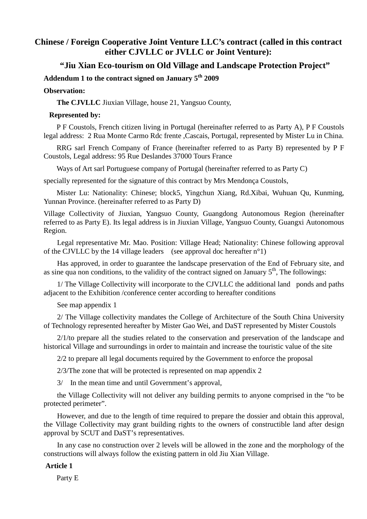# **Chinese / Foreign Cooperative Joint Venture LLC's contract (called in this contract either CJVLLC or JVLLC or Joint Venture):**

## **"Jiu Xian Eco-tourism on Old Village and Landscape Protection Project"**

# **Addendum 1 to the contract signed on January 5th 2009**

### **Observation:**

**The CJVLLC** Jiuxian Village, house 21, Yangsuo County,

#### **Represented by:**

P F Coustols, French citizen living in Portugal (hereinafter referred to as Party A), P F Coustols legal address: 2 Rua Monte Carmo Rdc frente ,Cascais, Portugal, represented by Mister Lu in China.

RRG sarl French Company of France (hereinafter referred to as Party B) represented by P F Coustols, Legal address: 95 Rue Deslandes 37000 Tours France

Ways of Art sarl Portuguese company of Portugal (hereinafter referred to as Party C)

specially represented for the signature of this contract by Mrs Mendonça Coustols,

Mister Lu: Nationality: Chinese; block5, Yingchun Xiang, Rd.Xibai, Wuhuan Qu, Kunming, Yunnan Province. (hereinafter referred to as Party D)

Village Collectivity of Jiuxian, Yangsuo County, Guangdong Autonomous Region (hereinafter referred to as Party E). Its legal address is in Jiuxian Village, Yangsuo County, Guangxi Autonomous Region.

Legal representative Mr. Mao. Position: Village Head; Nationality: Chinese following approval of the CJVLLC by the 14 village leaders (see approval doc hereafter  $n^{\circ}1$ )

Has approved, in order to guarantee the landscape preservation of the End of February site, and as sine qua non conditions, to the validity of the contract signed on January  $5<sup>th</sup>$ , The followings:

1/ The Village Collectivity will incorporate to the CJVLLC the additional land ponds and paths adjacent to the Exhibition /conference center according to hereafter conditions

See map appendix 1

2/ The Village collectivity mandates the College of Architecture of the South China University of Technology represented hereafter by Mister Gao Wei, and DaST represented by Mister Coustols

2/1/to prepare all the studies related to the conservation and preservation of the landscape and historical Village and surroundings in order to maintain and increase the touristic value of the site

2/2 to prepare all legal documents required by the Government to enforce the proposal

2/3/The zone that will be protected is represented on map appendix 2

3/ In the mean time and until Government's approval,

the Village Collectivity will not deliver any building permits to anyone comprised in the "to be protected perimeter".

However, and due to the length of time required to prepare the dossier and obtain this approval, the Village Collectivity may grant building rights to the owners of constructible land after design approval by SCUT and DaST's representatives.

In any case no construction over 2 levels will be allowed in the zone and the morphology of the constructions will always follow the existing pattern in old Jiu Xian Village.

#### **Article 1**

Party E